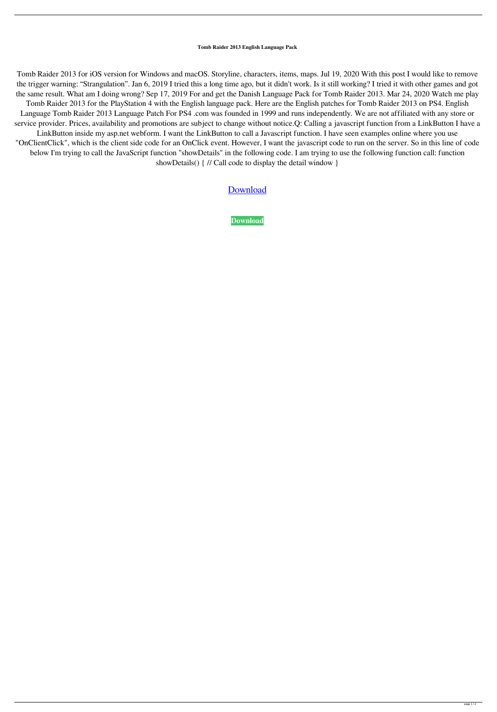## **Tomb Raider 2013 English Language Pack**

Tomb Raider 2013 for iOS version for Windows and macOS. Storyline, characters, items, maps. Jul 19, 2020 With this post I would like to remove the trigger warning: "Strangulation". Jan 6, 2019 I tried this a long time ago, but it didn't work. Is it still working? I tried it with other games and got the same result. What am I doing wrong? Sep 17, 2019 For and get the Danish Language Pack for Tomb Raider 2013. Mar 24, 2020 Watch me play Tomb Raider 2013 for the PlayStation 4 with the English language pack. Here are the English patches for Tomb Raider 2013 on PS4. English Language Tomb Raider 2013 Language Patch For PS4 .com was founded in 1999 and runs independently. We are not affiliated with any store or service provider. Prices, availability and promotions are subject to change without notice.Q: Calling a javascript function from a LinkButton I have a LinkButton inside my asp.net webform. I want the LinkButton to call a Javascript function. I have seen examples online where you use "OnClientClick", which is the client side code for an OnClick event. However, I want the javascript code to run on the server. So in this line of code below I'm trying to call the JavaScript function "showDetails" in the following code. I am trying to use the following function call: function showDetails() { // Call code to display the detail window }

## [Download](http://evacdir.com/hopscotch/openning/dG9tYiByYWlkZXIgMjAxMyBlbmdsaXNoIGxhbmd1YWdlIHBhY2sdG9/ZG93bmxvYWR8dXc4TW1vNGJYeDhNVFkxTWpjME1EZzJObng4TWpVM05IeDhLRTBwSUhKbFlXUXRZbXh2WnlCYlJtRnpkQ0JIUlU1ZA=poisoner&extravert=regattas.eased)